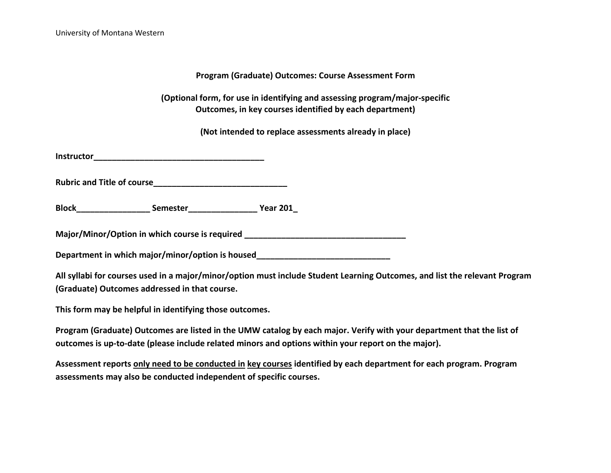**Program (Graduate) Outcomes: Course Assessment Form**

**(Optional form, for use in identifying and assessing program/major-specific Outcomes, in key courses identified by each department)**

**(Not intended to replace assessments already in place)**

**Instructor** 

Rubric and Title of course **Example 2018** 

**Block\_\_\_\_\_\_\_\_\_\_\_\_\_\_\_\_ Semester\_\_\_\_\_\_\_\_\_\_\_\_\_\_\_ Year 201\_**

**Major/Minor/Option in which course is required \_\_\_\_\_\_\_\_\_\_\_\_\_\_\_\_\_\_\_\_\_\_\_\_\_\_\_\_\_\_\_\_\_\_\_**

**Department in which major/minor/option is housed\_\_\_\_\_\_\_\_\_\_\_\_\_\_\_\_\_\_\_\_\_\_\_\_\_\_\_\_\_**

**All syllabi for courses used in a major/minor/option must include Student Learning Outcomes, and list the relevant Program (Graduate) Outcomes addressed in that course.**

**This form may be helpful in identifying those outcomes.**

**Program (Graduate) Outcomes are listed in the UMW catalog by each major. Verify with your department that the list of outcomes is up-to-date (please include related minors and options within your report on the major).** 

**Assessment reports only need to be conducted in key courses identified by each department for each program. Program assessments may also be conducted independent of specific courses.**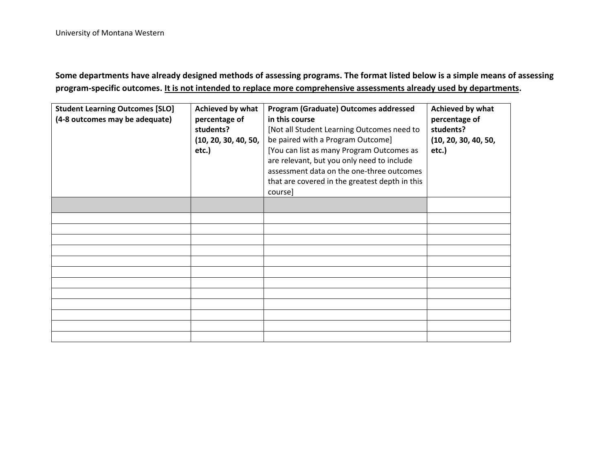**Some departments have already designed methods of assessing programs. The format listed below is a simple means of assessing program-specific outcomes. It is not intended to replace more comprehensive assessments already used by departments.**

| <b>Student Learning Outcomes [SLO]</b><br>(4-8 outcomes may be adequate) | Achieved by what<br>percentage of<br>students?<br>(10, 20, 30, 40, 50,<br>etc.) | Program (Graduate) Outcomes addressed<br>in this course<br>[Not all Student Learning Outcomes need to<br>be paired with a Program Outcome]<br>[You can list as many Program Outcomes as<br>are relevant, but you only need to include<br>assessment data on the one-three outcomes<br>that are covered in the greatest depth in this<br>course] | Achieved by what<br>percentage of<br>students?<br>(10, 20, 30, 40, 50,<br>etc.) |
|--------------------------------------------------------------------------|---------------------------------------------------------------------------------|-------------------------------------------------------------------------------------------------------------------------------------------------------------------------------------------------------------------------------------------------------------------------------------------------------------------------------------------------|---------------------------------------------------------------------------------|
|                                                                          |                                                                                 |                                                                                                                                                                                                                                                                                                                                                 |                                                                                 |
|                                                                          |                                                                                 |                                                                                                                                                                                                                                                                                                                                                 |                                                                                 |
|                                                                          |                                                                                 |                                                                                                                                                                                                                                                                                                                                                 |                                                                                 |
|                                                                          |                                                                                 |                                                                                                                                                                                                                                                                                                                                                 |                                                                                 |
|                                                                          |                                                                                 |                                                                                                                                                                                                                                                                                                                                                 |                                                                                 |
|                                                                          |                                                                                 |                                                                                                                                                                                                                                                                                                                                                 |                                                                                 |
|                                                                          |                                                                                 |                                                                                                                                                                                                                                                                                                                                                 |                                                                                 |
|                                                                          |                                                                                 |                                                                                                                                                                                                                                                                                                                                                 |                                                                                 |
|                                                                          |                                                                                 |                                                                                                                                                                                                                                                                                                                                                 |                                                                                 |
|                                                                          |                                                                                 |                                                                                                                                                                                                                                                                                                                                                 |                                                                                 |
|                                                                          |                                                                                 |                                                                                                                                                                                                                                                                                                                                                 |                                                                                 |
|                                                                          |                                                                                 |                                                                                                                                                                                                                                                                                                                                                 |                                                                                 |
|                                                                          |                                                                                 |                                                                                                                                                                                                                                                                                                                                                 |                                                                                 |